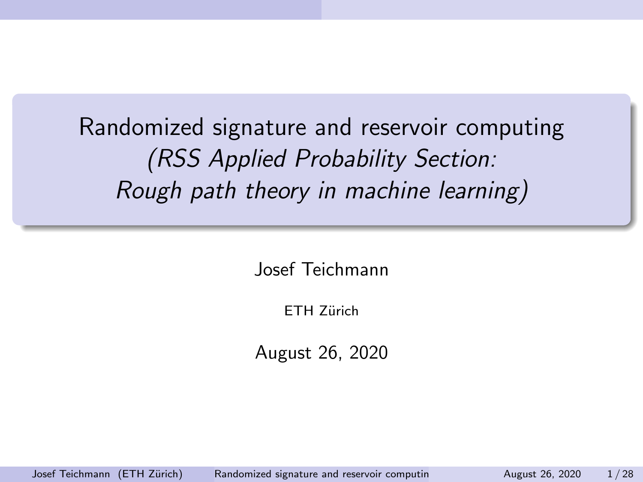Randomized signature and reservoir computing (RSS Applied Probability Section: Rough path theory in machine learning)

Josef Teichmann

ETH Zürich

August 26, 2020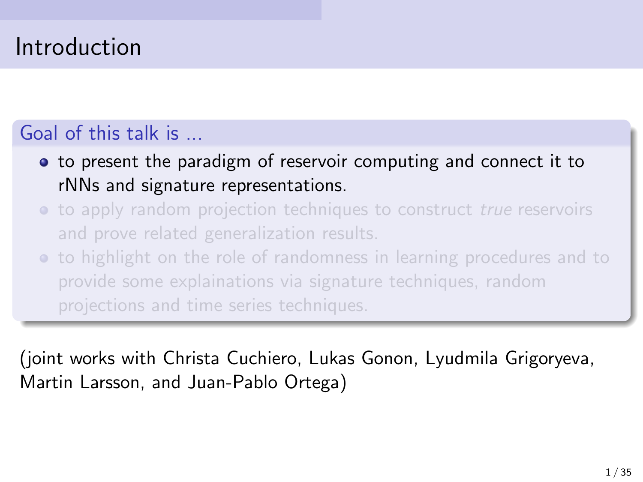# Introduction

### Goal of this talk is ...

- to present the paradigm of reservoir computing and connect it to rNNs and signature representations.
- to apply random projection techniques to construct *true* reservoirs and prove related generalization results.
- to highlight on the role of randomness in learning procedures and to provide some explainations via signature techniques, random projections and time series techniques.

(joint works with Christa Cuchiero, Lukas Gonon, Lyudmila Grigoryeva, Martin Larsson, and Juan-Pablo Ortega)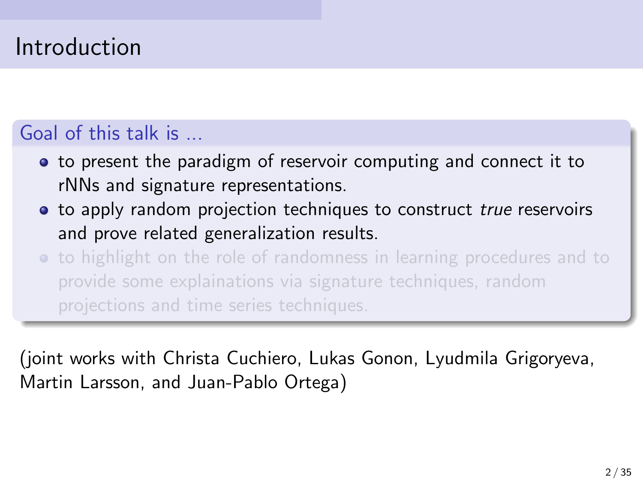## Introduction

### Goal of this talk is ...

- to present the paradigm of reservoir computing and connect it to rNNs and signature representations.
- to apply random projection techniques to construct true reservoirs and prove related generalization results.
- to highlight on the role of randomness in learning procedures and to provide some explainations via signature techniques, random projections and time series techniques.

(joint works with Christa Cuchiero, Lukas Gonon, Lyudmila Grigoryeva, Martin Larsson, and Juan-Pablo Ortega)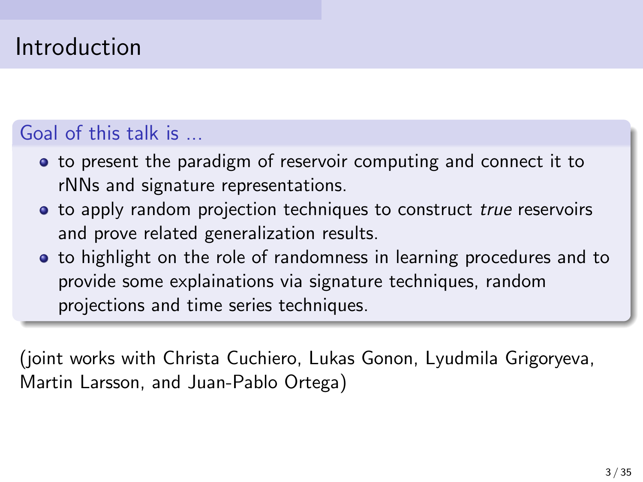## Introduction

### Goal of this talk is ...

- to present the paradigm of reservoir computing and connect it to rNNs and signature representations.
- to apply random projection techniques to construct true reservoirs and prove related generalization results.
- **•** to highlight on the role of randomness in learning procedures and to provide some explainations via signature techniques, random projections and time series techniques.

(joint works with Christa Cuchiero, Lukas Gonon, Lyudmila Grigoryeva, Martin Larsson, and Juan-Pablo Ortega)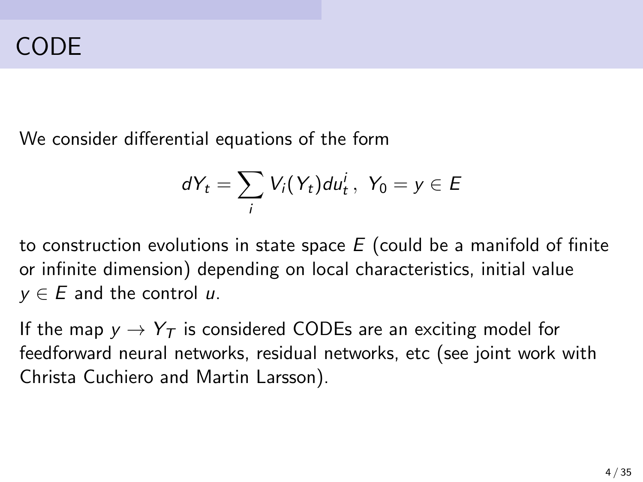We consider differential equations of the form

$$
dY_t = \sum_i V_i(Y_t) du_t^i, \ Y_0 = y \in E
$$

to construction evolutions in state space  $E$  (could be a manifold of finite or infinite dimension) depending on local characteristics, initial value  $y \in E$  and the control u.

If the map  $y \rightarrow Y_T$  is considered CODEs are an exciting model for feedforward neural networks, residual networks, etc (see joint work with Christa Cuchiero and Martin Larsson).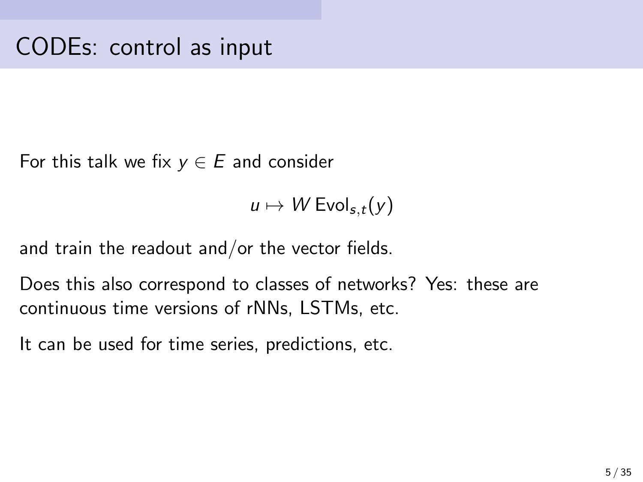For this talk we fix  $y \in E$  and consider

 $u \mapsto W$  Evol<sub>s,t</sub>(y)

and train the readout and/or the vector fields.

Does this also correspond to classes of networks? Yes: these are continuous time versions of rNNs, LSTMs, etc.

It can be used for time series, predictions, etc.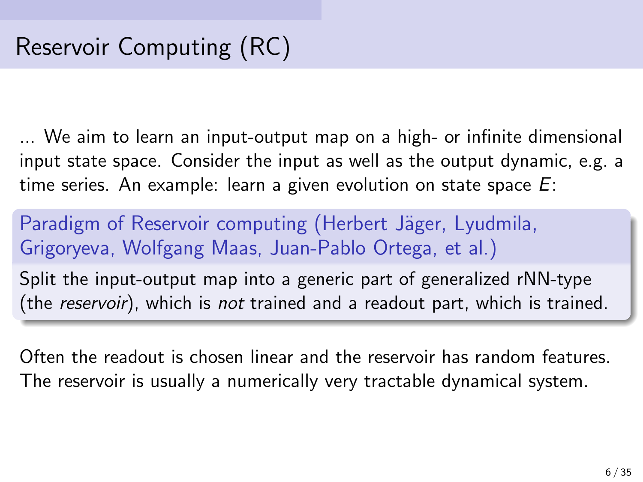... We aim to learn an input-output map on a high- or infinite dimensional input state space. Consider the input as well as the output dynamic, e.g. a time series. An example: learn a given evolution on state space  $E$ :

Paradigm of Reservoir computing (Herbert Jäger, Lyudmila, Grigoryeva, Wolfgang Maas, Juan-Pablo Ortega, et al.)

Split the input-output map into a generic part of generalized rNN-type (the reservoir), which is not trained and a readout part, which is trained.

Often the readout is chosen linear and the reservoir has random features. The reservoir is usually a numerically very tractable dynamical system.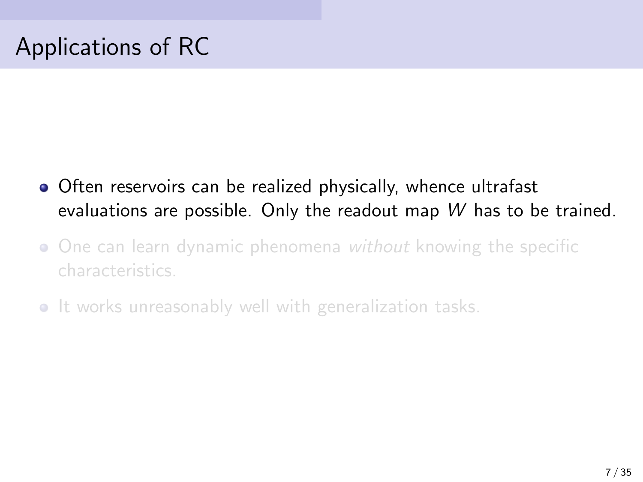# Applications of RC

- **•** Often reservoirs can be realized physically, whence ultrafast evaluations are possible. Only the readout map W has to be trained.
- One can learn dynamic phenomena without knowing the specific characteristics.
- It works unreasonably well with generalization tasks.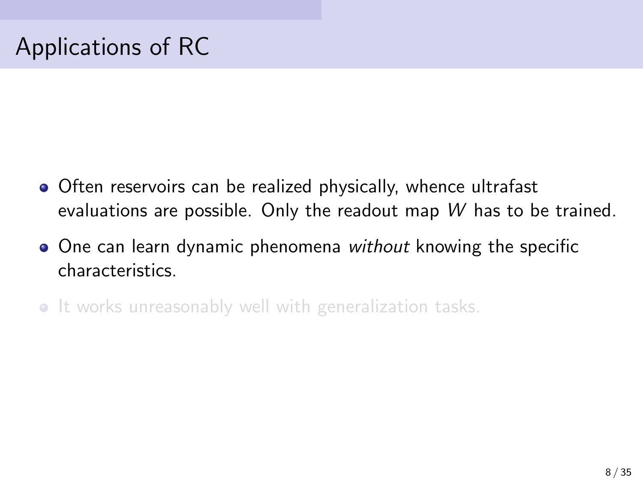# Applications of RC

- **•** Often reservoirs can be realized physically, whence ultrafast evaluations are possible. Only the readout map W has to be trained.
- One can learn dynamic phenomena without knowing the specific **characteristics**
- It works unreasonably well with generalization tasks.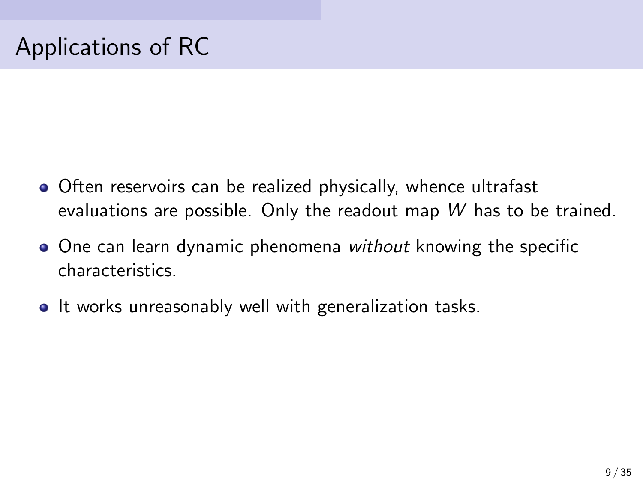# Applications of RC

- **•** Often reservoirs can be realized physically, whence ultrafast evaluations are possible. Only the readout map W has to be trained.
- One can learn dynamic phenomena without knowing the specific characteristics.
- It works unreasonably well with generalization tasks.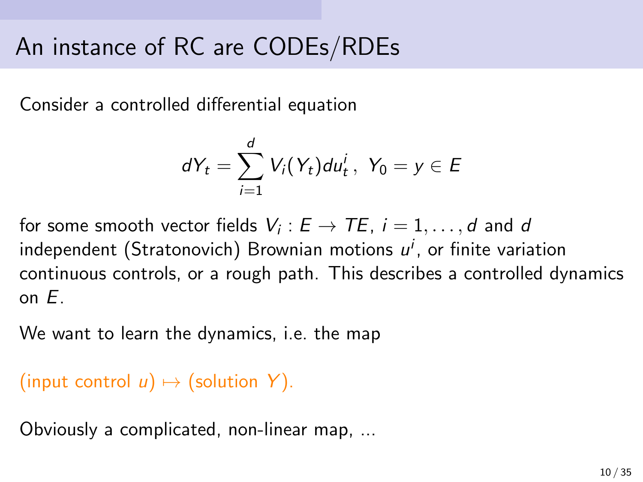# An instance of RC are CODEs/RDEs

Consider a controlled differential equation

$$
dY_t = \sum_{i=1}^d V_i(Y_t) du_t^i, \ Y_0 = y \in E
$$

for some smooth vector fields  $V_i:E\rightarrow TE,~i=1,\ldots,d$  and  $d$ independent (Stratonovich) Brownian motions  $u^i$ , or finite variation continuous controls, or a rough path. This describes a controlled dynamics on E.

We want to learn the dynamics, i.e. the map

```
(input control u) \mapsto (solution Y).
```
Obviously a complicated, non-linear map, ...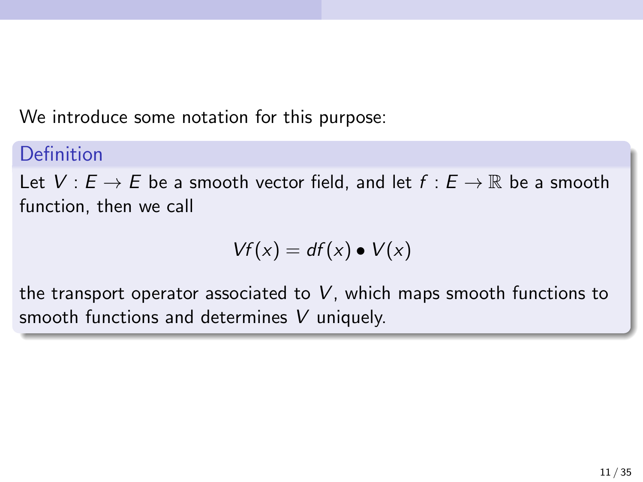We introduce some notation for this purpose:

#### Definition

Let  $V: E \to E$  be a smooth vector field, and let  $f: E \to \mathbb{R}$  be a smooth function, then we call

$$
Vf(x) = df(x) \bullet V(x)
$$

the transport operator associated to  $V$ , which maps smooth functions to smooth functions and determines V uniquely.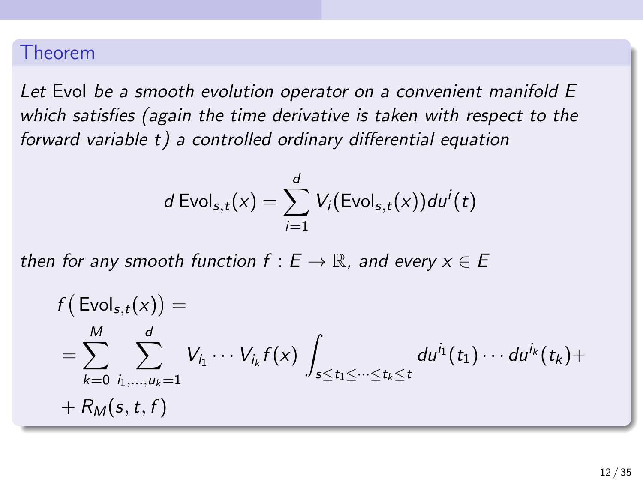#### Theorem

Let Evol be a smooth evolution operator on a convenient manifold E which satisfies (again the time derivative is taken with respect to the forward variable t) a controlled ordinary differential equation

$$
d\operatorname{Evol}_{s,t}(x) = \sum_{i=1}^d V_i(\operatorname{Evol}_{s,t}(x))du^i(t)
$$

then for any smooth function  $f : E \to \mathbb{R}$ , and every  $x \in E$ 

$$
f\left(\text{Evol}_{s,t}(x)\right) =
$$
\n
$$
= \sum_{k=0}^{M} \sum_{i_1,\dots,i_k=1}^{d} V_{i_1} \cdots V_{i_k} f(x) \int_{s \le t_1 \le \dots \le t_k \le t} du^{i_1}(t_1) \cdots du^{i_k}(t_k) +
$$
\n
$$
+ R_M(s,t,f)
$$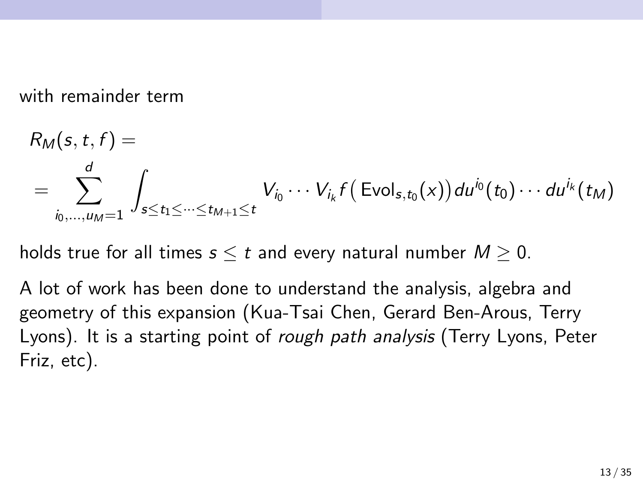with remainder term

$$
R_M(s, t, f) =
$$
  
= 
$$
\sum_{i_0, ..., u_M = 1}^d \int_{s \le t_1 \le ... \le t_{M+1} \le t} V_{i_0} \cdots V_{i_k} f(\text{Evol}_{s, t_0}(x)) du^{i_0}(t_0) \cdots du^{i_k}(t_M)
$$

holds true for all times  $s \leq t$  and every natural number  $M \geq 0$ .

A lot of work has been done to understand the analysis, algebra and geometry of this expansion (Kua-Tsai Chen, Gerard Ben-Arous, Terry Lyons). It is a starting point of *rough path analysis* (Terry Lyons, Peter Friz, etc).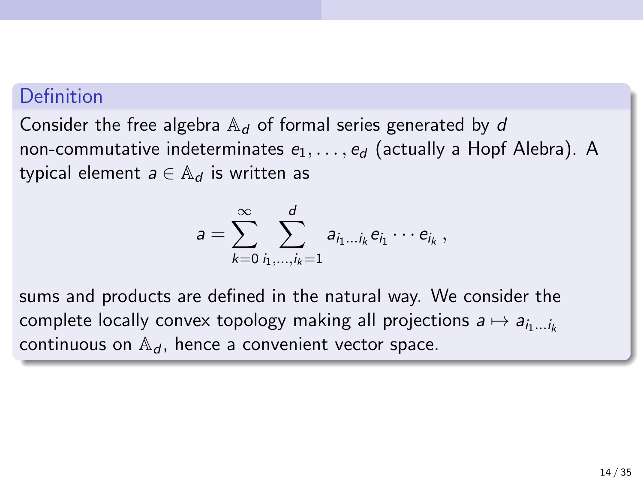#### Definition

Consider the free algebra  $A_d$  of formal series generated by d non-commutative indeterminates  $e_1, \ldots, e_d$  (actually a Hopf Alebra). A typical element  $a \in \mathbb{A}_d$  is written as

$$
a=\sum_{k=0}^\infty\sum_{i_1,\dots,i_k=1}^d a_{i_1\dots i_k}e_{i_1}\cdots e_{i_k},
$$

sums and products are defined in the natural way. We consider the complete locally convex topology making all projections  $a \mapsto a_{i_1...i_k}$ continuous on  $\mathbb{A}_d$ , hence a convenient vector space.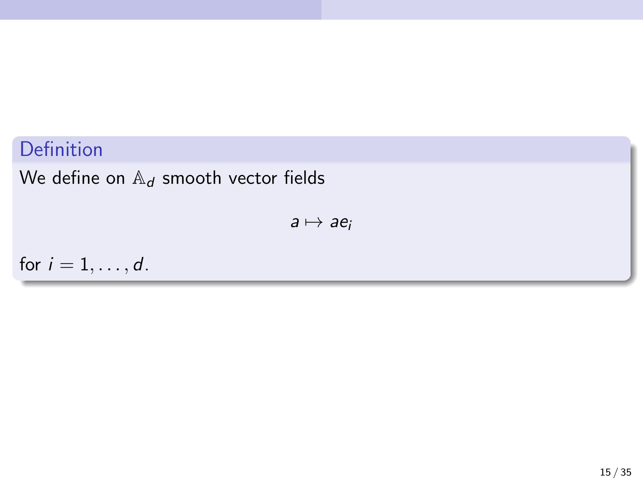### Definition

We define on  $\mathbb{A}_d$  smooth vector fields

 $a \mapsto ae_i$ 

for  $i = 1, \ldots, d$ .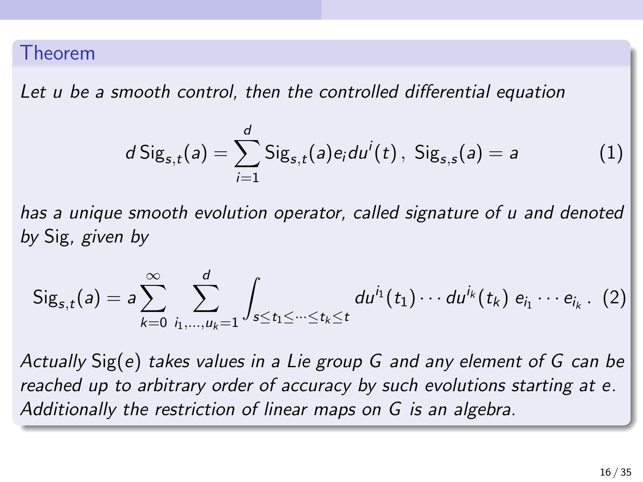#### Theorem

Let u be a smooth control, then the controlled differential equation

$$
d\,\mathrm{Sig}_{s,t}(a) = \sum_{i=1}^d \mathrm{Sig}_{s,t}(a)e_i du^i(t), \,\mathrm{Sig}_{s,s}(a) = a \tag{1}
$$

has a unique smooth evolution operator, called signature of u and denoted by Sig, given by

$$
Sig_{s,t}(a) = a \sum_{k=0}^{\infty} \sum_{i_1,...,i_k=1}^{d} \int_{s \leq t_1 \leq ... \leq t_k \leq t} du^{i_1}(t_1) \cdots du^{i_k}(t_k) e_{i_1} \cdots e_{i_k}.
$$
 (2)

Actually Sig(e) takes values in a Lie group G and any element of G can be reached up to arbitrary order of accuracy by such evolutions starting at e. Additionally the restriction of linear maps on G is an algebra.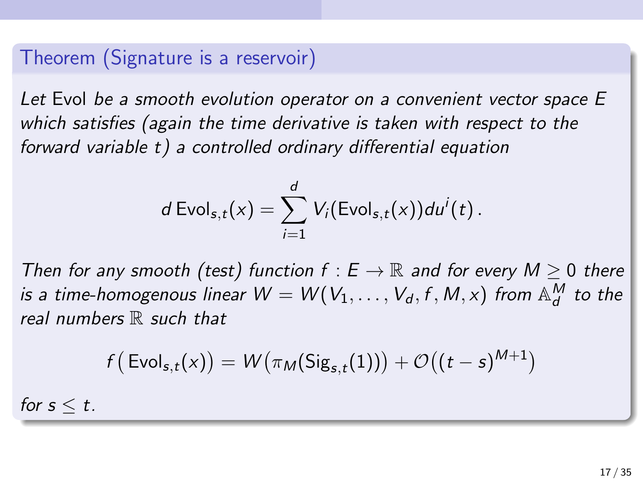### Theorem (Signature is a reservoir)

Let Evol be a smooth evolution operator on a convenient vector space E which satisfies (again the time derivative is taken with respect to the forward variable  $t$ ) a controlled ordinary differential equation

$$
d\operatorname{Evol}_{s,t}(x)=\sum_{i=1}^d V_i(\operatorname{Evol}_{s,t}(x))du^i(t).
$$

Then for any smooth (test) function  $f : E \to \mathbb{R}$  and for every  $M \geq 0$  there is a time-homogenous linear  $W = W(V_1, \ldots, V_d, f, M, x)$  from  $\mathbb{A}_d^M$  to the real numbers  $\mathbb R$  such that

$$
f\big(\left.\text{Evol}_{s,t}(x)\right) = W\big(\pi_M(\text{Sig}_{s,t}(1))\big) + \mathcal{O}\big((t-s)^{M+1}\big)
$$

for  $s \leq t$ .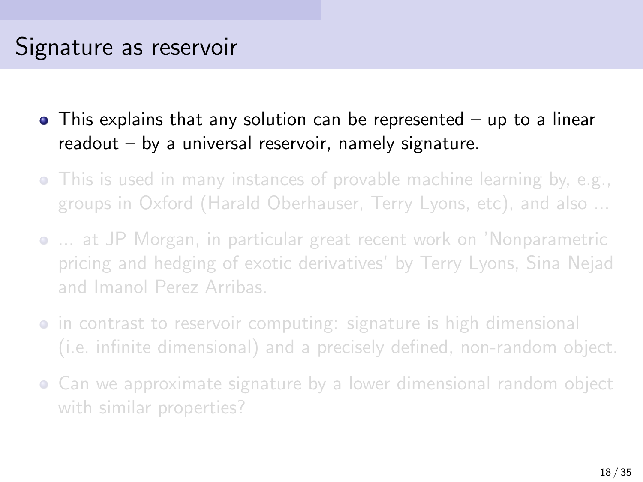- This explains that any solution can be represented up to a linear readout – by a universal reservoir, namely signature.
- This is used in many instances of provable machine learning by, e.g., groups in Oxford (Harald Oberhauser, Terry Lyons, etc), and also ...
- ... at JP Morgan, in particular great recent work on 'Nonparametric pricing and hedging of exotic derivatives' by Terry Lyons, Sina Nejad and Imanol Perez Arribas.
- in contrast to reservoir computing: signature is high dimensional (i.e. infinite dimensional) and a precisely defined, non-random object.
- Can we approximate signature by a lower dimensional random object with similar properties?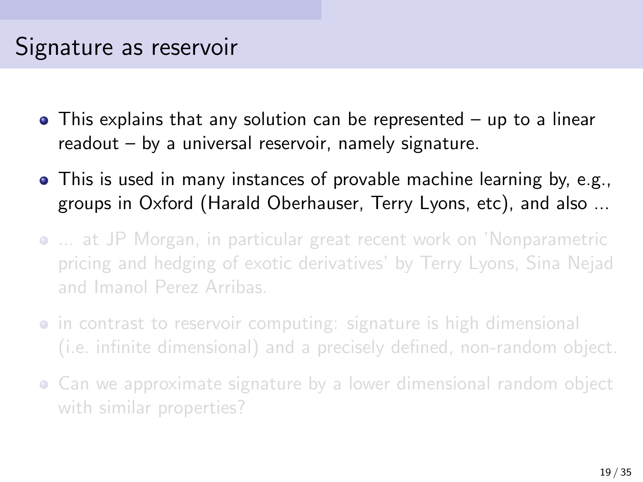- This explains that any solution can be represented up to a linear readout – by a universal reservoir, namely signature.
- This is used in many instances of provable machine learning by, e.g., groups in Oxford (Harald Oberhauser, Terry Lyons, etc), and also ...
- ... at JP Morgan, in particular great recent work on 'Nonparametric pricing and hedging of exotic derivatives' by Terry Lyons, Sina Nejad and Imanol Perez Arribas.
- in contrast to reservoir computing: signature is high dimensional (i.e. infinite dimensional) and a precisely defined, non-random object.
- Can we approximate signature by a lower dimensional random object with similar properties?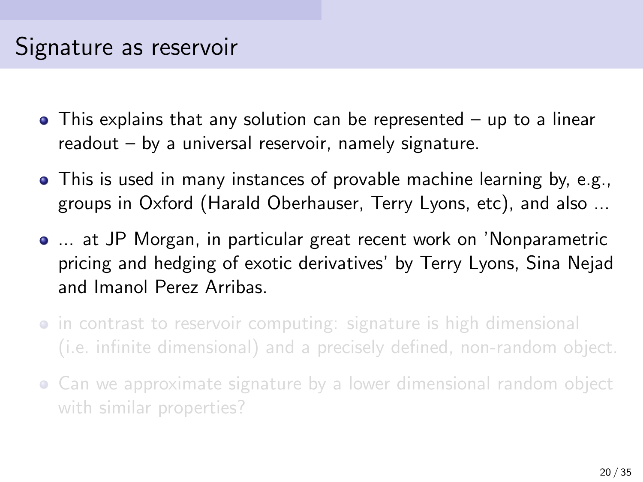- This explains that any solution can be represented up to a linear readout – by a universal reservoir, namely signature.
- This is used in many instances of provable machine learning by, e.g., groups in Oxford (Harald Oberhauser, Terry Lyons, etc), and also ...
- ... at JP Morgan, in particular great recent work on 'Nonparametric pricing and hedging of exotic derivatives' by Terry Lyons, Sina Nejad and Imanol Perez Arribas.
- in contrast to reservoir computing: signature is high dimensional (i.e. infinite dimensional) and a precisely defined, non-random object.
- Can we approximate signature by a lower dimensional random object with similar properties?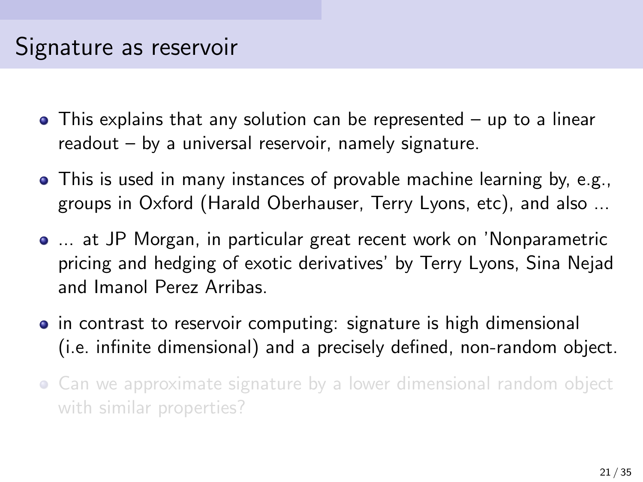- This explains that any solution can be represented up to a linear readout – by a universal reservoir, namely signature.
- This is used in many instances of provable machine learning by, e.g., groups in Oxford (Harald Oberhauser, Terry Lyons, etc), and also ...
- ... at JP Morgan, in particular great recent work on 'Nonparametric pricing and hedging of exotic derivatives' by Terry Lyons, Sina Nejad and Imanol Perez Arribas.
- **•** in contrast to reservoir computing: signature is high dimensional (i.e. infinite dimensional) and a precisely defined, non-random object.
- Can we approximate signature by a lower dimensional random object with similar properties?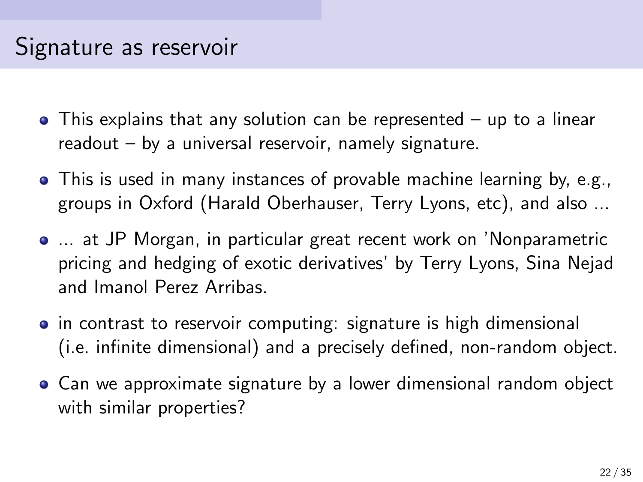- This explains that any solution can be represented up to a linear readout – by a universal reservoir, namely signature.
- This is used in many instances of provable machine learning by, e.g., groups in Oxford (Harald Oberhauser, Terry Lyons, etc), and also ...
- ... at JP Morgan, in particular great recent work on 'Nonparametric pricing and hedging of exotic derivatives' by Terry Lyons, Sina Nejad and Imanol Perez Arribas.
- **•** in contrast to reservoir computing: signature is high dimensional (i.e. infinite dimensional) and a precisely defined, non-random object.
- Can we approximate signature by a lower dimensional random object with similar properties?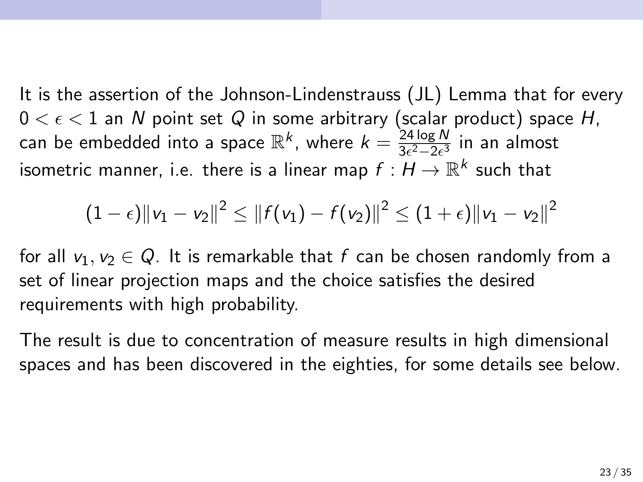It is the assertion of the Johnson-Lindenstrauss (JL) Lemma that for every  $0 < \epsilon < 1$  an N point set Q in some arbitrary (scalar product) space H, can be embedded into a space  $\mathbb{R}^k$ , where  $k = \frac{24 \log N}{3 \epsilon^2 - 2 \epsilon^3}$  $rac{24 \log N}{3\epsilon^2-2\epsilon^3}$  in an almost isometric manner, i.e. there is a linear map  $f: H \to \mathbb{R}^k$  such that

$$
(1-\epsilon) \|v_1-v_2\|^2 \le \|f(v_1)-f(v_2)\|^2 \le (1+\epsilon) \|v_1-v_2\|^2
$$

for all  $v_1, v_2 \in Q$ . It is remarkable that f can be chosen randomly from a set of linear projection maps and the choice satisfies the desired requirements with high probability.

The result is due to concentration of measure results in high dimensional spaces and has been discovered in the eighties, for some details see below.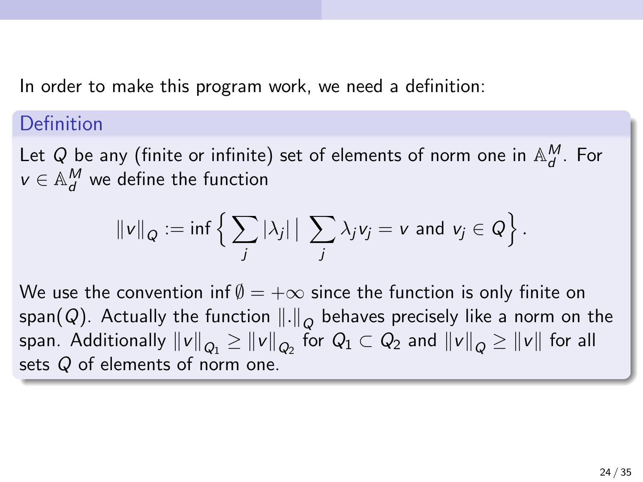In order to make this program work, we need a definition:

#### Definition

Let Q be any (finite or infinite) set of elements of norm one in  $\mathbb{A}_d^M$ . For  $v \in \mathbb{A}^\mathsf{M}_d$  we define the function

$$
\|v\|_Q := \inf \left\{ \sum_j |\lambda_j| \, \big| \, \sum_j \lambda_j v_j = v \text{ and } v_j \in Q \right\}.
$$

We use the convention inf  $\emptyset = +\infty$  since the function is only finite on span $(Q)$ . Actually the function  $\left\|.\right\|_Q$  behaves precisely like a norm on the span. Additionally  $\|v\|_{Q_1}\geq \|v\|_{Q_2}$  for  $Q_1\subset Q_2$  and  $\|v\|_{Q}\geq \|v\|$  for all sets Q of elements of norm one.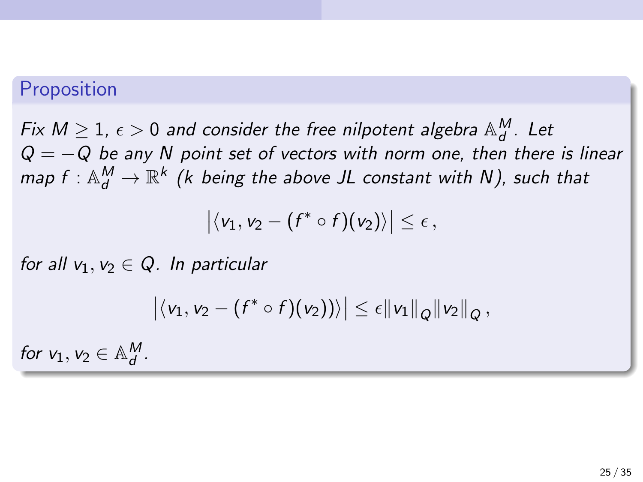#### Proposition

Fix  $M\geq 1$ ,  $\epsilon>0$  and consider the free nilpotent algebra  $\mathbb{A}_d^M$ . Let  $Q = -Q$  be any N point set of vectors with norm one, then there is linear map  $f: \mathbb{A}_d^M \to \mathbb{R}^k$  (k being the above JL constant with N), such that

$$
\big|\langle v_1,v_2-(f^*\circ f)(v_2)\rangle\big|\leq \epsilon\,,
$$

for all  $v_1, v_2 \in Q$ . In particular

$$
\left|\langle v_1,v_2-(f^*\circ f)(v_2))\rangle\right|\leq \epsilon \|v_1\|_{Q}\|v_2\|_{Q},
$$

for  $v_1, v_2 \in \mathbb{A}^M_d$ .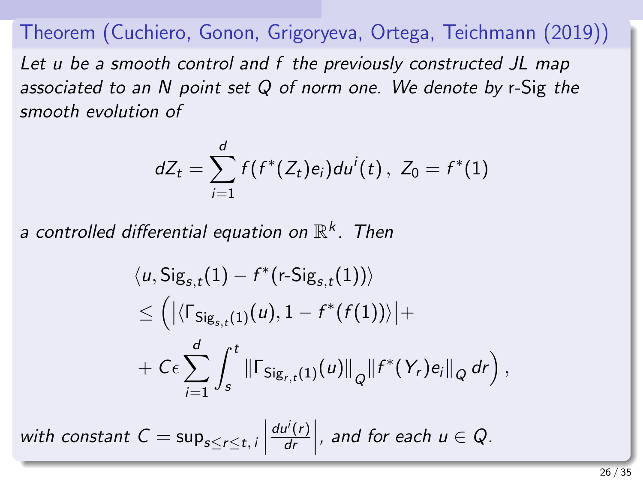Theorem (Cuchiero, Gonon, Grigoryeva, Ortega, Teichmann (2019)) Let u be a smooth control and f the previously constructed JL map associated to an N point set Q of norm one. We denote by r-Sig the smooth evolution of

$$
dZ_t = \sum_{i=1}^d f(f^*(Z_t) e_i) du^i(t), Z_0 = f^*(1)
$$

a controlled differential equation on  $\mathbb{R}^k$  . Then

$$
\langle u, \mathsf{Sig}_{s,t}(1) - f^*(r\text{-}Sig_{s,t}(1)) \rangle
$$
  
\n
$$
\leq \left( \left| \langle \Gamma_{\mathsf{Sig}_{s,t}(1)}(u), 1 - f^*(f(1)) \rangle \right| +
$$
  
\n
$$
+ C\epsilon \sum_{i=1}^d \int_s^t \left\| \Gamma_{\mathsf{Sig}_{r,t}(1)}(u) \right\|_{Q} \left\| f^*(Y_r) e_i \right\|_{Q} dr \right),
$$

with constant  $C = \sup_{s \le r \le t, i} \Big|$  $du^{i}(r)$  $\left| \frac{dI^{i}(r)}{dr} \right|$ , and for each  $u \in Q$ .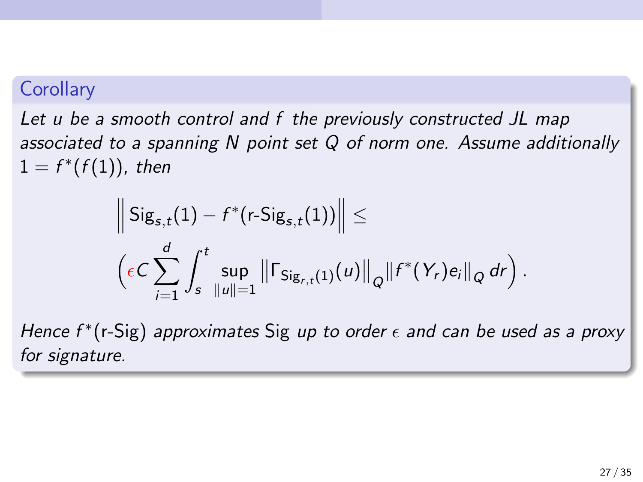### **Corollary**

Let u be a smooth control and f the previously constructed JL map associated to a spanning N point set Q of norm one. Assume additionally  $1 = f^*(f(1))$ , then

$$
\left\| \text{Sig}_{s,t}(1) - f^*(r\text{-Sig}_{s,t}(1)) \right\| \leq \left( \epsilon C \sum_{i=1}^d \int_s^t \sup_{\|u\|=1} \left\| \Gamma_{\text{Sig}_{r,t}(1)}(u) \right\|_{Q} \left\| f^*(Y_r) e_i \right\|_{Q} dr \right).
$$

Hence  $f^*(r\text{-Sig})$  approximates Sig up to order  $\epsilon$  and can be used as a proxy for signature.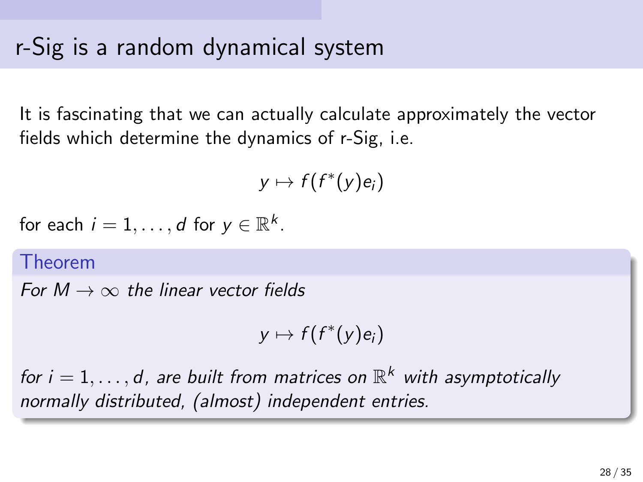# r-Sig is a random dynamical system

It is fascinating that we can actually calculate approximately the vector fields which determine the dynamics of r-Sig, i.e.

$$
y\mapsto f(f^*(y)e_i)
$$

for each  $i=1,\ldots,d$  for  $y\in\mathbb{R}^k$ .

#### Theorem

For  $M \to \infty$  the linear vector fields

$$
y\mapsto f(f^*(y)e_i)
$$

for  $i = 1, \ldots, d$ , are built from matrices on  $\mathbb{R}^k$  with asymptotically normally distributed, (almost) independent entries.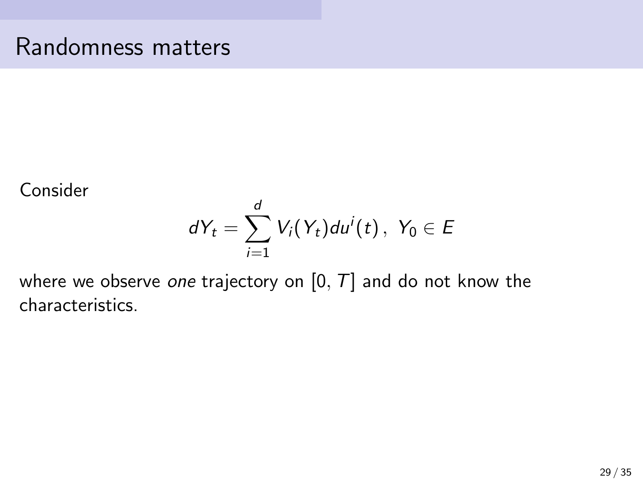### Randomness matters

Consider

$$
dY_t = \sum_{i=1}^d V_i(Y_t) du^i(t), \ Y_0 \in E
$$

where we observe one trajectory on  $[0, T]$  and do not know the characteristics.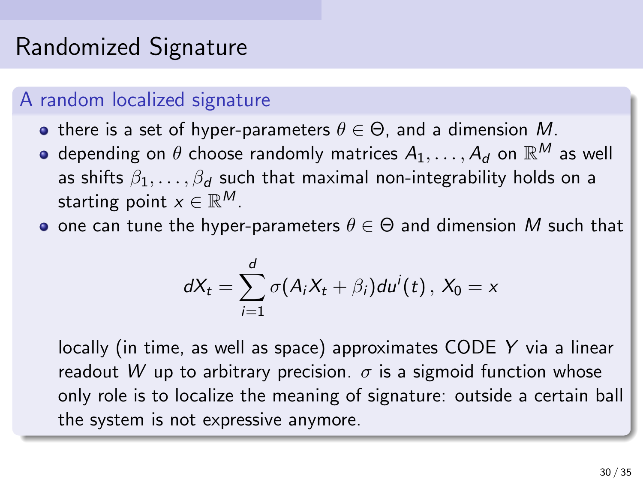# Randomized Signature

#### A random localized signature

- **•** there is a set of hyper-parameters  $\theta \in \Theta$ , and a dimension M.
- depending on  $\theta$  choose randomly matrices  $A_1,\ldots,A_d$  on  $\mathbb{R}^M$  as well as shifts  $\beta_1, \ldots, \beta_d$  such that maximal non-integrability holds on a starting point  $x\in \mathbb{R}^M$ .
- one can tune the hyper-parameters  $\theta \in \Theta$  and dimension M such that

$$
dX_t = \sum_{i=1}^d \sigma(A_iX_t + \beta_i)du^i(t), X_0 = x
$$

locally (in time, as well as space) approximates CODE Y via a linear readout W up to arbitrary precision.  $\sigma$  is a sigmoid function whose only role is to localize the meaning of signature: outside a certain ball the system is not expressive anymore.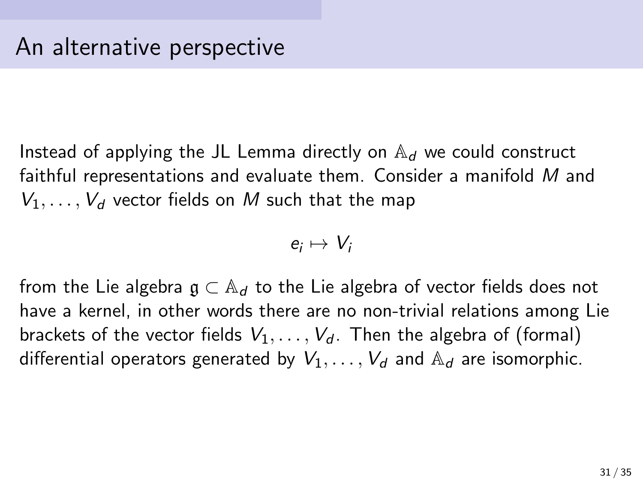Instead of applying the JL Lemma directly on  $\mathbb{A}_d$  we could construct faithful representations and evaluate them. Consider a manifold M and  $V_1, \ldots, V_d$  vector fields on M such that the map

$$
e_i\mapsto V_i
$$

from the Lie algebra  $\mathfrak{g} \subset \mathbb{A}_d$  to the Lie algebra of vector fields does not have a kernel, in other words there are no non-trivial relations among Lie brackets of the vector fields  $V_1, \ldots, V_d$ . Then the algebra of (formal) differential operators generated by  $V_1, \ldots, V_d$  and  $\mathbb{A}_d$  are isomorphic.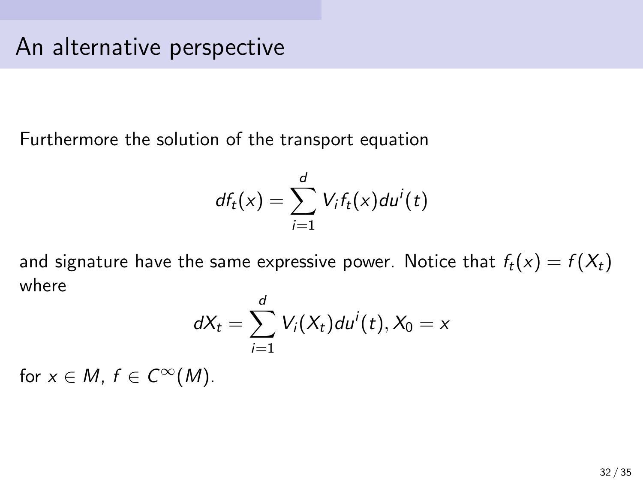Furthermore the solution of the transport equation

$$
df_t(x) = \sum_{i=1}^d V_i f_t(x) du^i(t)
$$

and signature have the same expressive power. Notice that  $f_t(x) = f(X_t)$ where

$$
dX_t = \sum_{i=1}^d V_i(X_t) du^i(t), X_0 = x
$$

for  $x \in M$ ,  $f \in C^{\infty}(M)$ .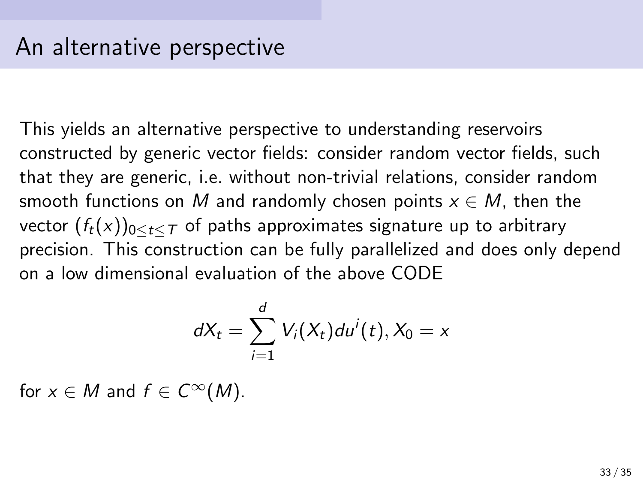This yields an alternative perspective to understanding reservoirs constructed by generic vector fields: consider random vector fields, such that they are generic, i.e. without non-trivial relations, consider random smooth functions on M and randomly chosen points  $x \in M$ , then the vector  $(f_t(x))_{0 \le t \le T}$  of paths approximates signature up to arbitrary precision. This construction can be fully parallelized and does only depend on a low dimensional evaluation of the above CODE

$$
dX_t = \sum_{i=1}^d V_i(X_t) du^i(t), X_0 = x
$$

for  $x \in M$  and  $f \in C^{\infty}(M)$ .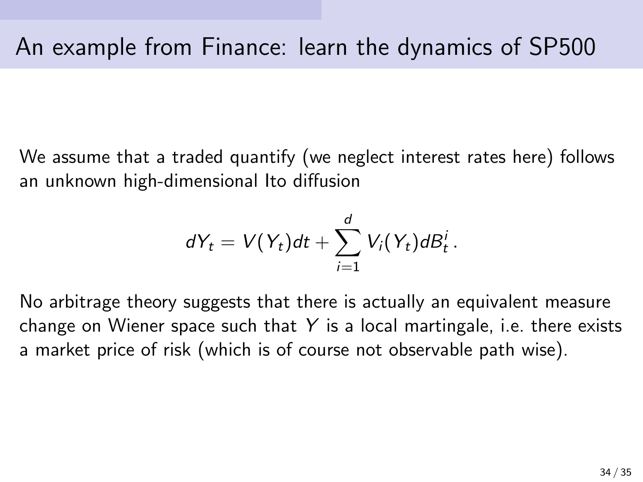We assume that a traded quantify (we neglect interest rates here) follows an unknown high-dimensional Ito diffusion

$$
dY_t = V(Y_t)dt + \sum_{i=1}^d V_i(Y_t)dB_t^i.
$$

No arbitrage theory suggests that there is actually an equivalent measure change on Wiener space such that  $Y$  is a local martingale, i.e. there exists a market price of risk (which is of course not observable path wise).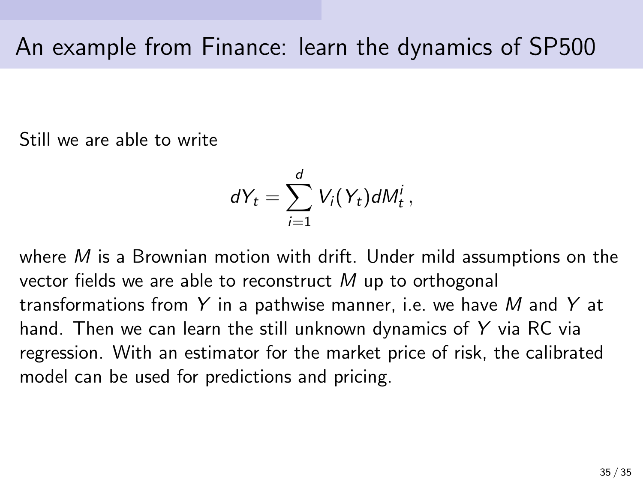<span id="page-35-0"></span>Still we are able to write

$$
dY_t = \sum_{i=1}^d V_i(Y_t) dM_t^i,
$$

where  $M$  is a Brownian motion with drift. Under mild assumptions on the vector fields we are able to reconstruct  $M$  up to orthogonal transformations from Y in a pathwise manner, i.e. we have M and Y at hand. Then we can learn the still unknown dynamics of Y via RC via regression. With an estimator for the market price of risk, the calibrated model can be used for predictions and pricing.